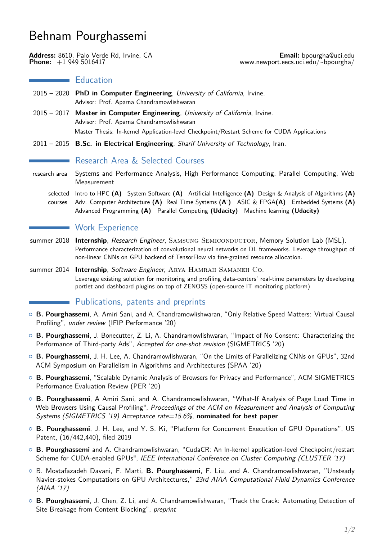# Behnam Pourghassemi

**Address:** 8610, Palo Verde Rd, Irvine, CA **Email:** [bpourgha@uci.edu](mailto:bpourgha.at.uci.dot.edu)<br>Phone: +1 949 5016417 **Phone:** +1 949 5016417

#### **Education**

- 2015 2020 **PhD in Computer Engineering**, University of California, Irvine. Advisor: Prof. Aparna Chandramowlishwaran
- 2015 2017 **Master in Computer Engineering**, University of California, Irvine. Advisor: Prof. Aparna Chandramowlishwaran Master Thesis: In-kernel Application-level Checkpoint/Restart Scheme for CUDA Applications
- 2011 2015 **B.Sc. in Electrical Engineering**, Sharif University of Technology, Iran.

## Research Area & Selected Courses

- research area Systems and Performance Analysis, High Performance Computing, Parallel Computing, Web Measurement
	- selected Intro to HPC **(A)** System Software **(A)** Artificial Intelligence **(A)** Design & Analysis of Algorithms **(A)** courses Adv. Computer Architecture **(A)** Real Time Systems **(A- )** ASIC & FPGA**(A)** Embedded Systems **(A)** Advanced Programming **(A)** Parallel Computing **(Udacity)** Machine learning **(Udacity)**

#### **Work Experience**

- summer 2018 **Internship**, Research Engineer, SAMSUNG SEMICONDUCTOR, Memory Solution Lab (MSL). Performance characterization of convolutional neural networks on DL frameworks. Leverage throughput of non-linear CNNs on GPU backend of TensorFlow via fine-grained resource allocation.
- summer 2014 **Internship**, Software Engineer, ARYA HAMRAH SAMANEH CO. Leverage existing solution for monitoring and profiling data-centers' real-time parameters by developing portlet and dashboard plugins on top of ZENOSS (open-source IT monitoring platform)

### Publications, patents and preprints

- { **B. Pourghassemi**, A. Amiri Sani, and A. Chandramowlishwaran, "Only Relative Speed Matters: Virtual Causal Profiling", under review (IFIP Performance '20)
- { **B. Pourghassemi**, J. Bonecutter, Z. Li, A. Chandramowlishwaran, "Impact of No Consent: Characterizing the Performance of Third-party Ads", Accepted for one-shot revision (SIGMETRICS '20)
- { **B. Pourghassemi**, J. H. Lee, A. Chandramowlishwaran, "On the Limits of Parallelizing CNNs on GPUs", 32nd ACM Symposium on Parallelism in Algorithms and Architectures (SPAA '20)
- { **B. Pourghassemi**, "Scalable Dynamic Analysis of Browsers for Privacy and Performance", ACM SIGMETRICS Performance Evaluation Review (PER '20)
- { **B. Pourghassemi**, A Amiri Sani, and A. Chandramowlishwaran, "What-If Analysis of Page Load Time in Web Browsers Using Causal Profiling", Proceedings of the ACM on Measurement and Analysis of Computing Systems (SIGMETRICS '19) Acceptance rate=15.6%, **nominated for best paper**
- { **B. Pourghassemi**, J. H. Lee, and Y. S. Ki, "Platform for Concurrent Execution of GPU Operations", US Patent, (16/442,440), filed 2019
- { **B. Pourghassemi** and A. Chandramowlishwaran, "CudaCR: An In-kernel application-level Checkpoint/restart Scheme for CUDA-enabled GPUs", IEEE International Conference on Cluster Computing (CLUSTER '17)
- { B. Mostafazadeh Davani, F. Marti, **B. Pourghassemi**, F. Liu, and A. Chandramowlishwaran, "Unsteady Navier-stokes Computations on GPU Architectures," 23rd AIAA Computational Fluid Dynamics Conference (AIAA '17)
- { **B. Pourghassemi**, J. Chen, Z. Li, and A. Chandramowlishwaran, "Track the Crack: Automating Detection of Site Breakage from Content Blocking", preprint